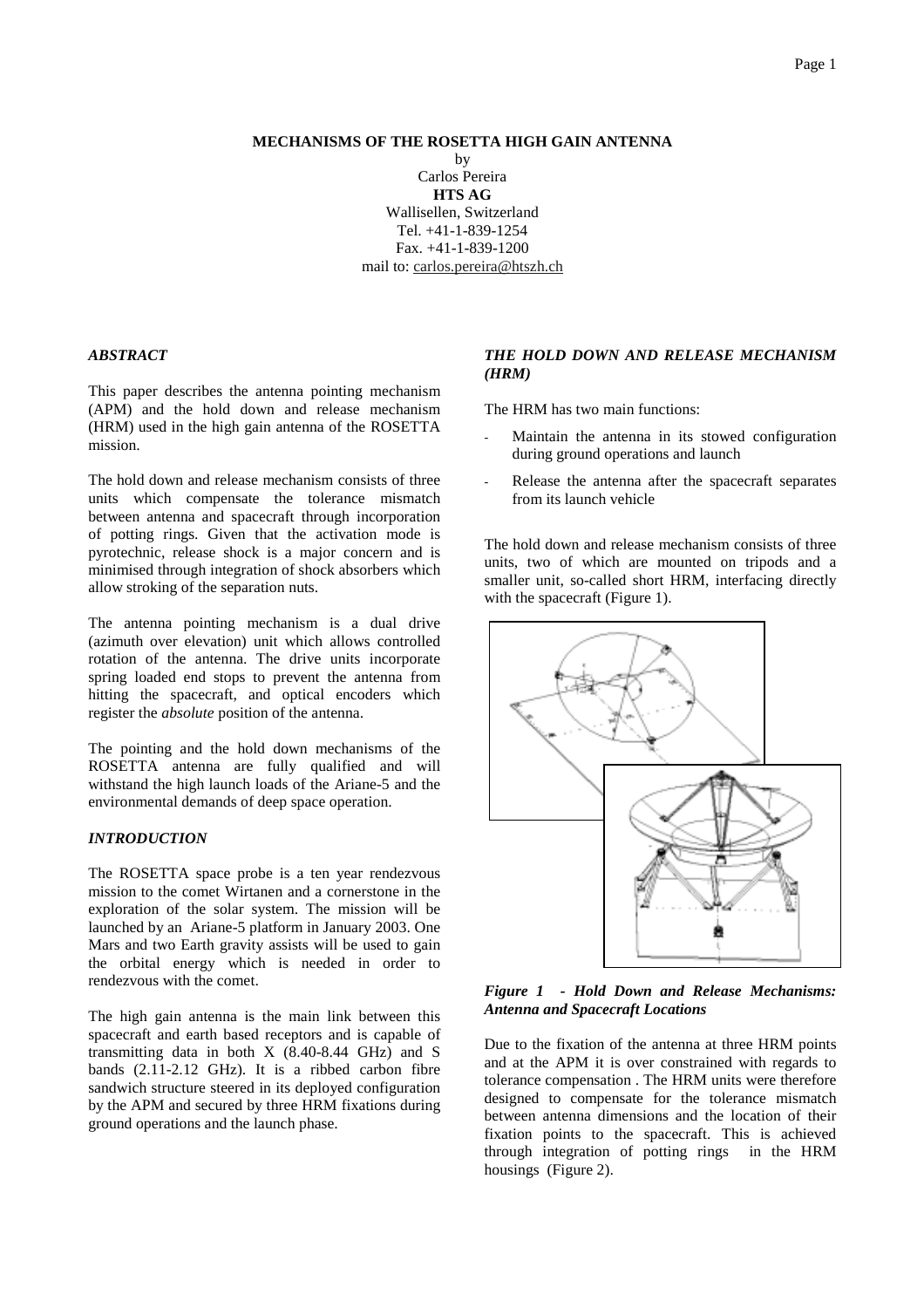### **MECHANISMS OF THE ROSETTA HIGH GAIN ANTENNA**

by Carlos Pereira **HTS AG** Wallisellen, Switzerland Tel. +41-1-839-1254 Fax. +41-1-839-1200 mail to: carlos.pereira@htszh.ch

#### *ABSTRACT*

This paper describes the antenna pointing mechanism (APM) and the hold down and release mechanism (HRM) used in the high gain antenna of the ROSETTA mission.

The hold down and release mechanism consists of three units which compensate the tolerance mismatch between antenna and spacecraft through incorporation of potting rings. Given that the activation mode is pyrotechnic, release shock is a major concern and is minimised through integration of shock absorbers which allow stroking of the separation nuts.

The antenna pointing mechanism is a dual drive (azimuth over elevation) unit which allows controlled rotation of the antenna. The drive units incorporate spring loaded end stops to prevent the antenna from hitting the spacecraft, and optical encoders which register the *absolute* position of the antenna.

The pointing and the hold down mechanisms of the ROSETTA antenna are fully qualified and will withstand the high launch loads of the Ariane-5 and the environmental demands of deep space operation.

#### *INTRODUCTION*

The ROSETTA space probe is a ten year rendezvous mission to the comet Wirtanen and a cornerstone in the exploration of the solar system. The mission will be launched by an Ariane-5 platform in January 2003. One Mars and two Earth gravity assists will be used to gain the orbital energy which is needed in order to rendezvous with the comet.

The high gain antenna is the main link between this spacecraft and earth based receptors and is capable of transmitting data in both X (8.40-8.44 GHz) and S bands (2.11-2.12 GHz). It is a ribbed carbon fibre sandwich structure steered in its deployed configuration by the APM and secured by three HRM fixations during ground operations and the launch phase.

# *THE HOLD DOWN AND RELEASE MECHANISM (HRM)*

The HRM has two main functions:

- Maintain the antenna in its stowed configuration during ground operations and launch
- Release the antenna after the spacecraft separates from its launch vehicle

The hold down and release mechanism consists of three units, two of which are mounted on tripods and a smaller unit, so-called short HRM, interfacing directly with the spacecraft (Figure 1).



*Figure 1 - Hold Down and Release Mechanisms: Antenna and Spacecraft Locations*

Due to the fixation of the antenna at three HRM points and at the APM it is over constrained with regards to tolerance compensation . The HRM units were therefore designed to compensate for the tolerance mismatch between antenna dimensions and the location of their fixation points to the spacecraft. This is achieved through integration of potting rings in the HRM housings (Figure 2).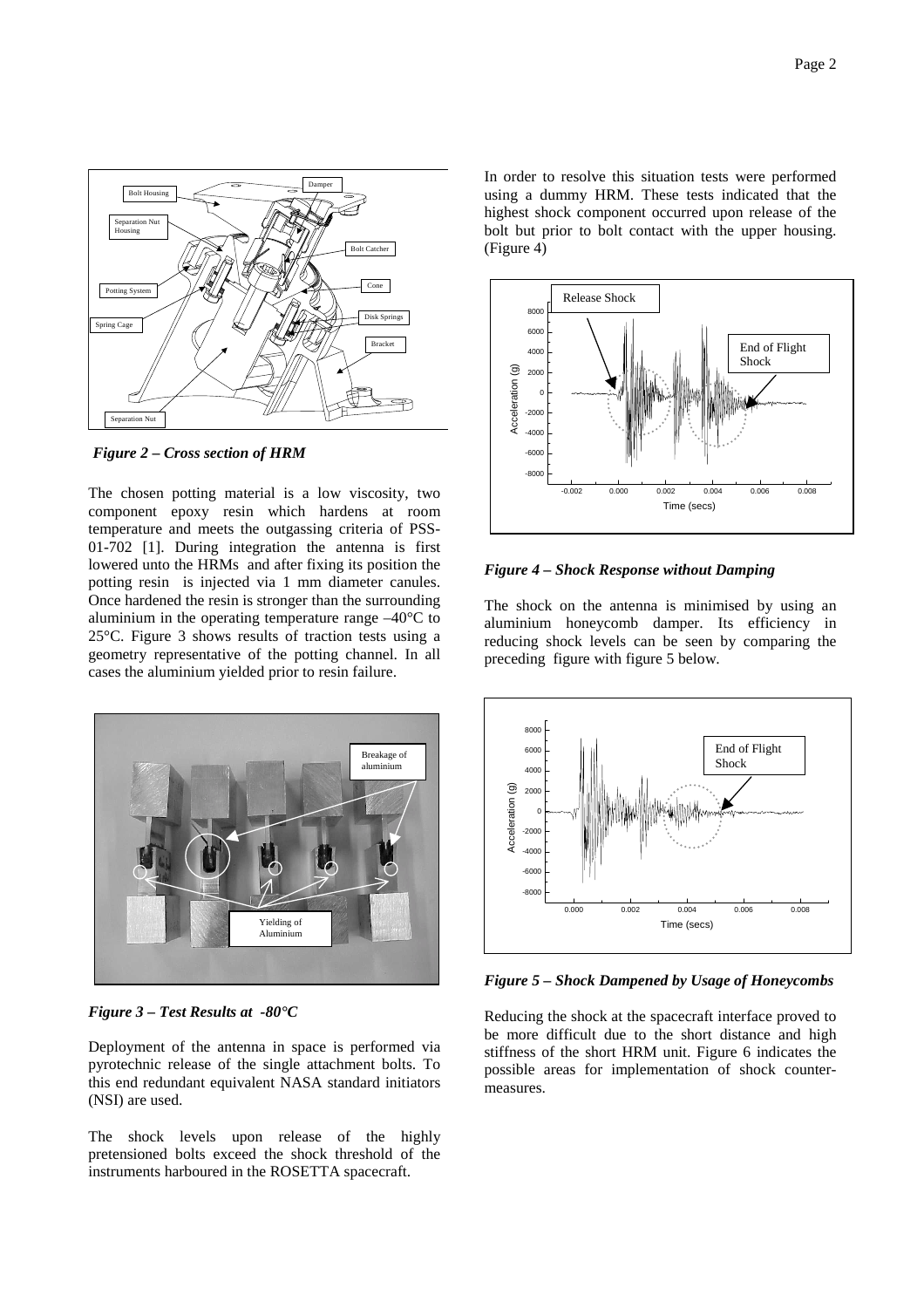

*Figure 2 – Cross section of HRM*

The chosen potting material is a low viscosity, two component epoxy resin which hardens at room temperature and meets the outgassing criteria of PSS-01-702 [1]. During integration the antenna is first lowered unto the HRMs and after fixing its position the potting resin is injected via 1 mm diameter canules. Once hardened the resin is stronger than the surrounding aluminium in the operating temperature range –40°C to 25°C. Figure 3 shows results of traction tests using a geometry representative of the potting channel. In all cases the aluminium yielded prior to resin failure.



*Figure 3 – Test Results at -80°C*

Deployment of the antenna in space is performed via pyrotechnic release of the single attachment bolts. To this end redundant equivalent NASA standard initiators (NSI) are used.

The shock levels upon release of the highly pretensioned bolts exceed the shock threshold of the instruments harboured in the ROSETTA spacecraft.

In order to resolve this situation tests were performed using a dummy HRM. These tests indicated that the highest shock component occurred upon release of the bolt but prior to bolt contact with the upper housing. (Figure 4)



*Figure 4 – Shock Response without Damping*

The shock on the antenna is minimised by using an aluminium honeycomb damper. Its efficiency in reducing shock levels can be seen by comparing the preceding figure with figure 5 below.



*Figure 5 – Shock Dampened by Usage of Honeycombs*

Reducing the shock at the spacecraft interface proved to be more difficult due to the short distance and high stiffness of the short HRM unit. Figure 6 indicates the possible areas for implementation of shock countermeasures.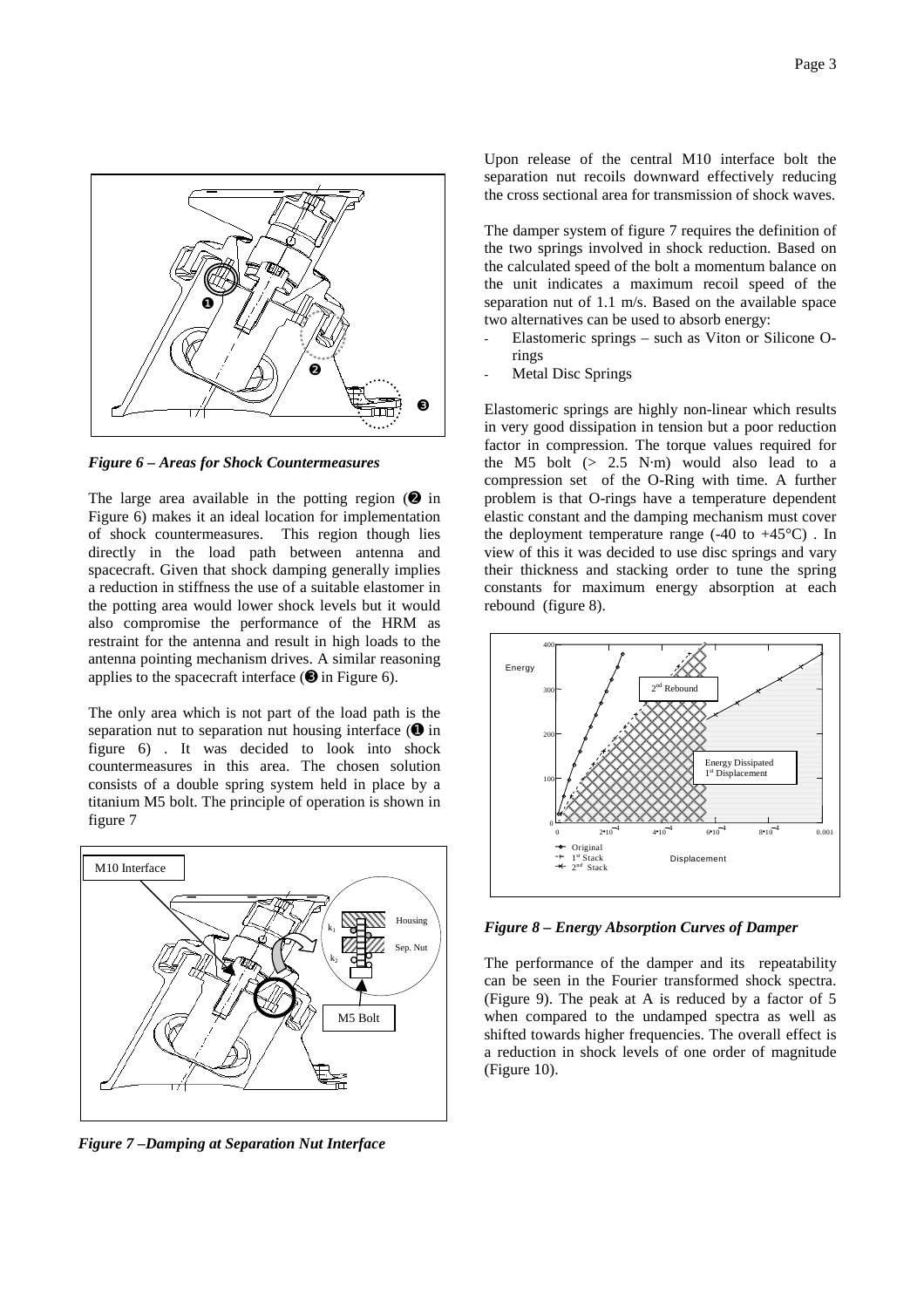

*Figure 6 – Areas for Shock Countermeasures*

The large area available in the potting region  $(②$  in Figure 6) makes it an ideal location for implementation of shock countermeasures. This region though lies directly in the load path between antenna and spacecraft. Given that shock damping generally implies a reduction in stiffness the use of a suitable elastomer in the potting area would lower shock levels but it would also compromise the performance of the HRM as restraint for the antenna and result in high loads to the antenna pointing mechanism drives. A similar reasoning applies to the spacecraft interface  $(\mathbf{\Theta})$  in Figure 6).

The only area which is not part of the load path is the separation nut to separation nut housing interface  $\mathbf{\Theta}$  in figure 6) . It was decided to look into shock countermeasures in this area. The chosen solution consists of a double spring system held in place by a titanium M5 bolt. The principle of operation is shown in figure 7



*Figure 7 –Damping at Separation Nut Interface*

Upon release of the central M10 interface bolt the separation nut recoils downward effectively reducing the cross sectional area for transmission of shock waves.

The damper system of figure 7 requires the definition of the two springs involved in shock reduction. Based on the calculated speed of the bolt a momentum balance on the unit indicates a maximum recoil speed of the separation nut of 1.1 m/s. Based on the available space two alternatives can be used to absorb energy:

- Elastomeric springs such as Viton or Silicone Orings
- Metal Disc Springs

Elastomeric springs are highly non-linear which results in very good dissipation in tension but a poor reduction factor in compression. The torque values required for the M5 bolt (> 2.5 N·m) would also lead to a compression set of the O-Ring with time. A further problem is that O-rings have a temperature dependent elastic constant and the damping mechanism must cover the deployment temperature range  $(-40 \text{ to } +45^{\circ}\text{C})$ . In view of this it was decided to use disc springs and vary their thickness and stacking order to tune the spring constants for maximum energy absorption at each rebound (figure 8).



*Figure 8 – Energy Absorption Curves of Damper*

The performance of the damper and its repeatability can be seen in the Fourier transformed shock spectra. (Figure 9). The peak at A is reduced by a factor of 5 when compared to the undamped spectra as well as shifted towards higher frequencies. The overall effect is a reduction in shock levels of one order of magnitude (Figure 10).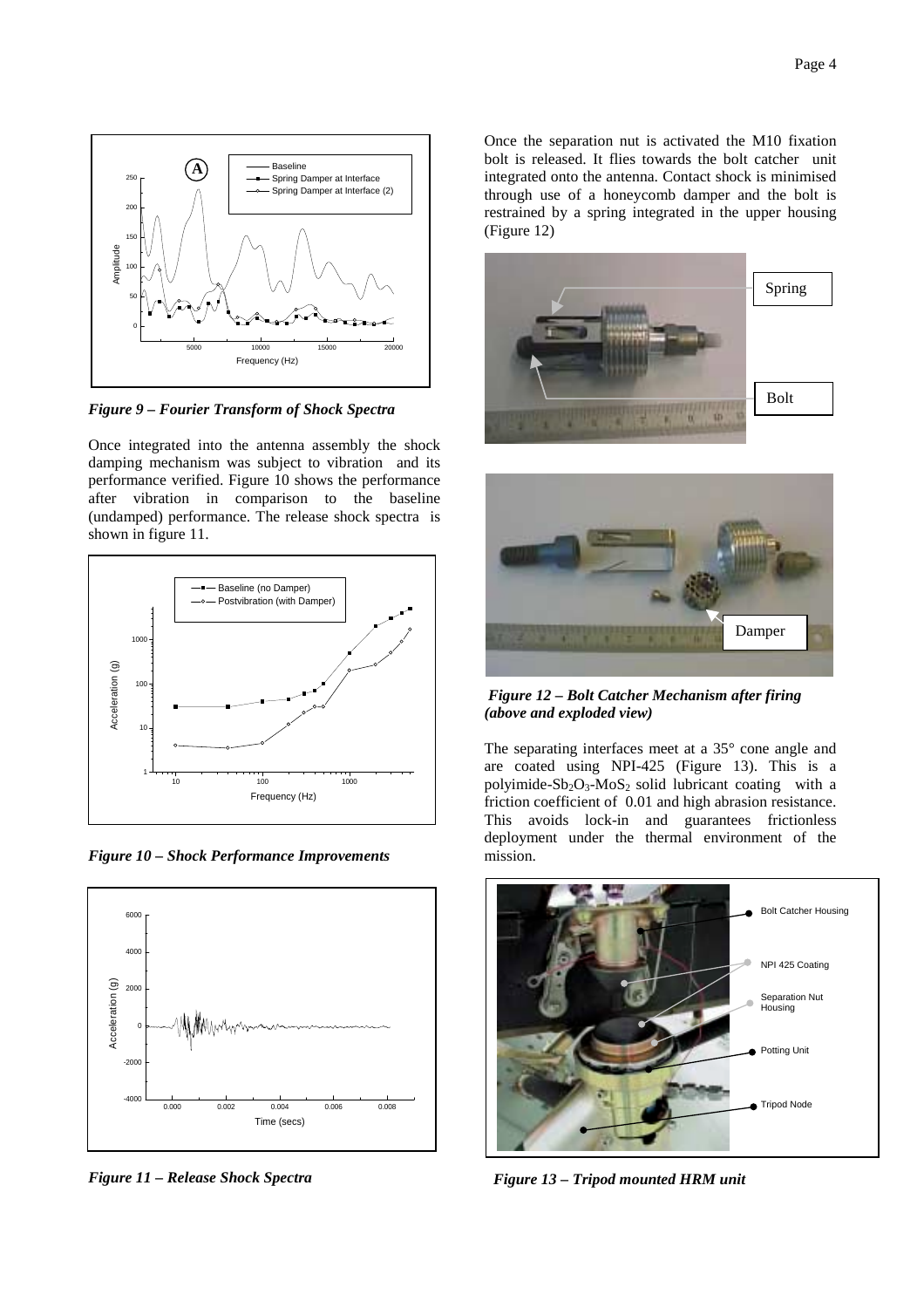

*Figure 9 – Fourier Transform of Shock Spectra*

Once integrated into the antenna assembly the shock damping mechanism was subject to vibration and its performance verified. Figure 10 shows the performance after vibration in comparison to the baseline (undamped) performance. The release shock spectra is shown in figure 11.



*Figure 10 – Shock Performance Improvements*



*Figure 11 – Release Shock Spectra*

Once the separation nut is activated the M10 fixation bolt is released. It flies towards the bolt catcher unit integrated onto the antenna. Contact shock is minimised through use of a honeycomb damper and the bolt is restrained by a spring integrated in the upper housing (Figure 12)





*Figure 12 – Bolt Catcher Mechanism after firing (above and exploded view)*

The separating interfaces meet at a 35° cone angle and are coated using NPI-425 (Figure 13). This is a polyimide-Sb<sub>2</sub>O<sub>3</sub>-MoS<sub>2</sub> solid lubricant coating with a friction coefficient of 0.01 and high abrasion resistance. This avoids lock-in and guarantees frictionless deployment under the thermal environment of the mission.



*Figure 13 – Tripod mounted HRM unit*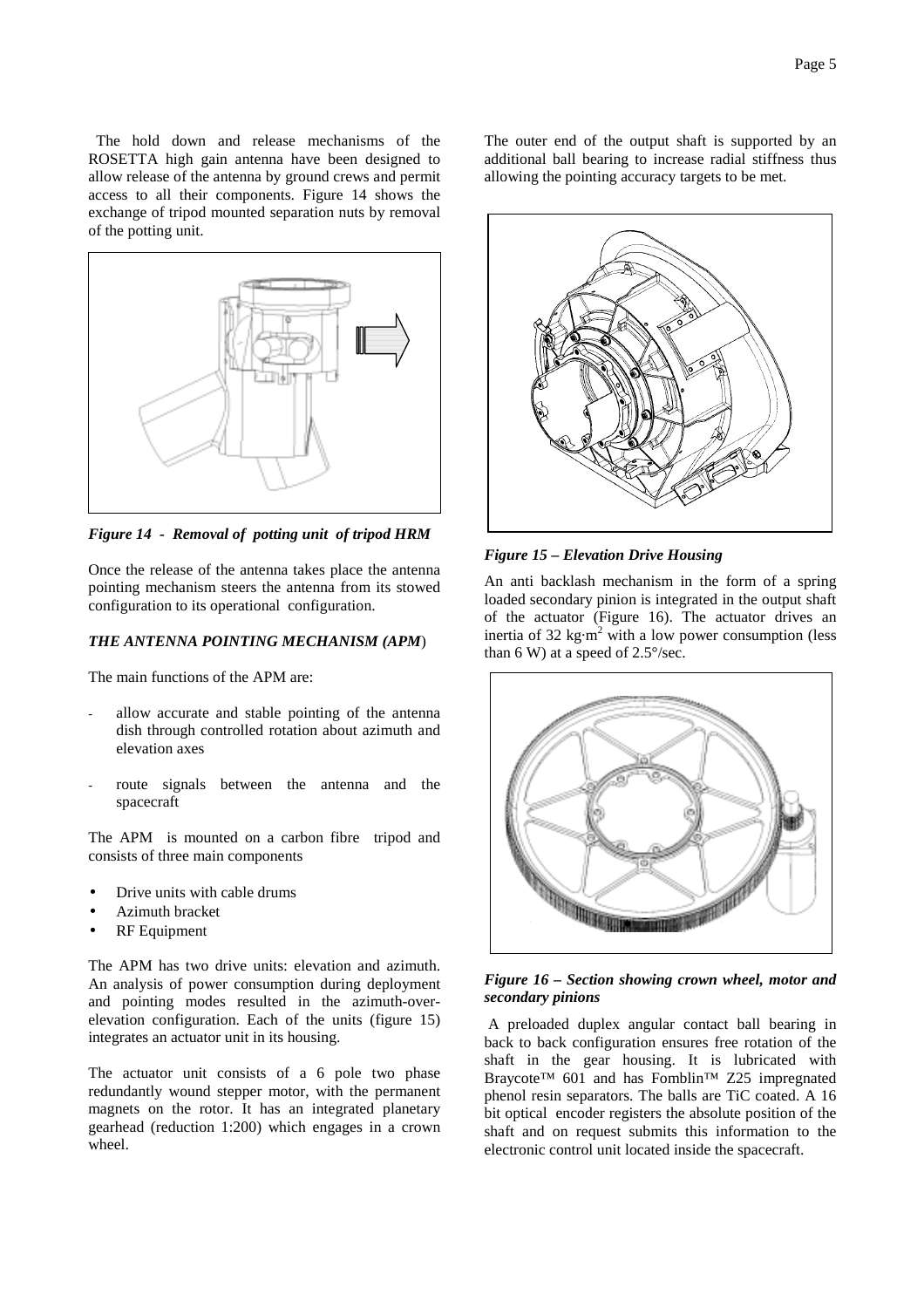The hold down and release mechanisms of the ROSETTA high gain antenna have been designed to allow release of the antenna by ground crews and permit access to all their components. Figure 14 shows the exchange of tripod mounted separation nuts by removal of the potting unit.



*Figure 14 - Removal of potting unit of tripod HRM*

Once the release of the antenna takes place the antenna pointing mechanism steers the antenna from its stowed configuration to its operational configuration.

# *THE ANTENNA POINTING MECHANISM (APM*)

The main functions of the APM are:

- allow accurate and stable pointing of the antenna dish through controlled rotation about azimuth and elevation axes
- route signals between the antenna and the spacecraft

The APM is mounted on a carbon fibre tripod and consists of three main components

- Drive units with cable drums
- Azimuth bracket
- **RF** Equipment

The APM has two drive units: elevation and azimuth. An analysis of power consumption during deployment and pointing modes resulted in the azimuth-overelevation configuration. Each of the units (figure 15) integrates an actuator unit in its housing.

The actuator unit consists of a 6 pole two phase redundantly wound stepper motor, with the permanent magnets on the rotor. It has an integrated planetary gearhead (reduction 1:200) which engages in a crown wheel.

The outer end of the output shaft is supported by an additional ball bearing to increase radial stiffness thus allowing the pointing accuracy targets to be met.



*Figure 15 – Elevation Drive Housing*

An anti backlash mechanism in the form of a spring loaded secondary pinion is integrated in the output shaft of the actuator (Figure 16). The actuator drives an inertia of 32 kg·m<sup>2</sup> with a low power consumption (less than 6 W) at a speed of  $2.5^{\circ}/sec$ .



# *Figure 16 – Section showing crown wheel, motor and secondary pinions*

 A preloaded duplex angular contact ball bearing in back to back configuration ensures free rotation of the shaft in the gear housing. It is lubricated with Braycote™ 601 and has Fomblin™ Z25 impregnated phenol resin separators. The balls are TiC coated. A 16 bit optical encoder registers the absolute position of the shaft and on request submits this information to the electronic control unit located inside the spacecraft.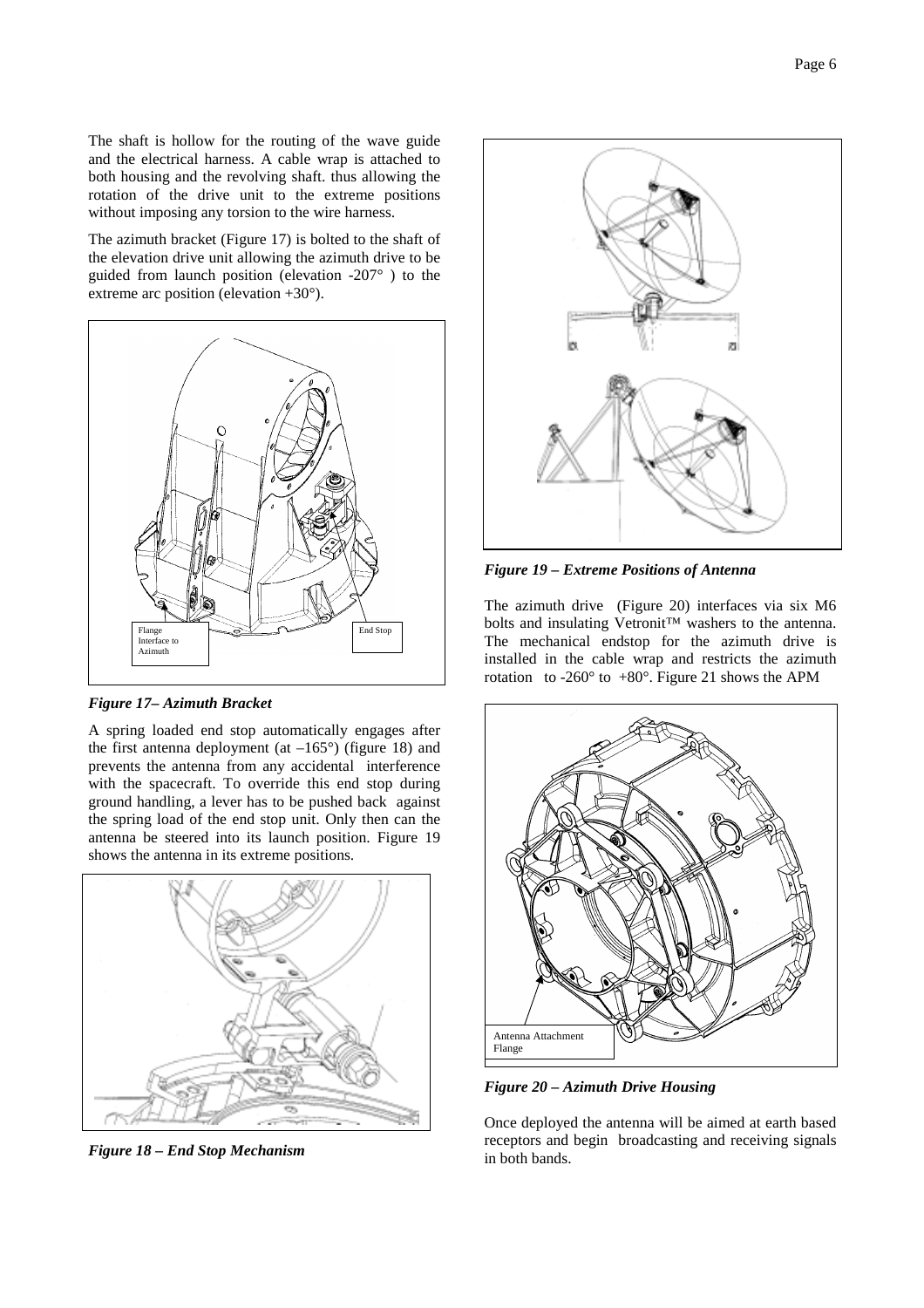The shaft is hollow for the routing of the wave guide and the electrical harness. A cable wrap is attached to both housing and the revolving shaft. thus allowing the rotation of the drive unit to the extreme positions without imposing any torsion to the wire harness.

The azimuth bracket (Figure 17) is bolted to the shaft of the elevation drive unit allowing the azimuth drive to be guided from launch position (elevation -207° ) to the extreme arc position (elevation +30°).



*Figure 17– Azimuth Bracket*

A spring loaded end stop automatically engages after the first antenna deployment (at  $-165^{\circ}$ ) (figure 18) and prevents the antenna from any accidental interference with the spacecraft. To override this end stop during ground handling, a lever has to be pushed back against the spring load of the end stop unit. Only then can the antenna be steered into its launch position. Figure 19 shows the antenna in its extreme positions.



*Figure 18 – End Stop Mechanism*



*Figure 19 – Extreme Positions of Antenna*

The azimuth drive (Figure 20) interfaces via six M6 bolts and insulating Vetronit™ washers to the antenna. The mechanical endstop for the azimuth drive is installed in the cable wrap and restricts the azimuth rotation to -260 $^{\circ}$  to +80 $^{\circ}$ . Figure 21 shows the APM



*Figure 20 – Azimuth Drive Housing*

Once deployed the antenna will be aimed at earth based receptors and begin broadcasting and receiving signals in both bands.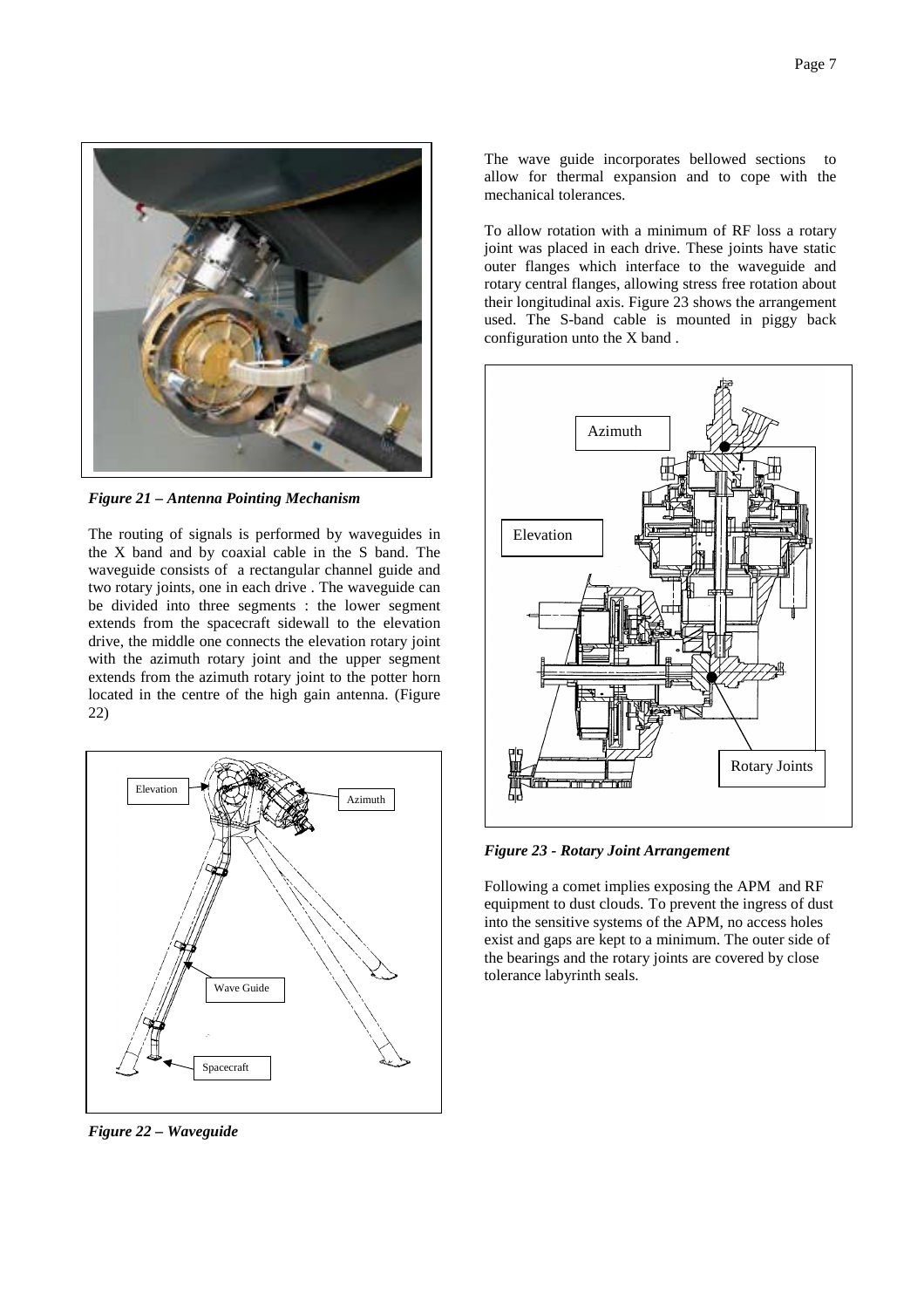

*Figure 21 – Antenna Pointing Mechanism*

The routing of signals is performed by waveguides in the X band and by coaxial cable in the S band. The waveguide consists of a rectangular channel guide and two rotary joints, one in each drive . The waveguide can be divided into three segments : the lower segment extends from the spacecraft sidewall to the elevation drive, the middle one connects the elevation rotary joint with the azimuth rotary joint and the upper segment extends from the azimuth rotary joint to the potter horn located in the centre of the high gain antenna. (Figure 22)



*Figure 22 – Waveguide*

The wave guide incorporates bellowed sections to allow for thermal expansion and to cope with the mechanical tolerances.

To allow rotation with a minimum of RF loss a rotary joint was placed in each drive. These joints have static outer flanges which interface to the waveguide and rotary central flanges, allowing stress free rotation about their longitudinal axis. Figure 23 shows the arrangement used. The S-band cable is mounted in piggy back configuration unto the X band .



*Figure 23 - Rotary Joint Arrangement*

Following a comet implies exposing the APM and RF equipment to dust clouds. To prevent the ingress of dust into the sensitive systems of the APM, no access holes exist and gaps are kept to a minimum. The outer side of the bearings and the rotary joints are covered by close tolerance labyrinth seals.